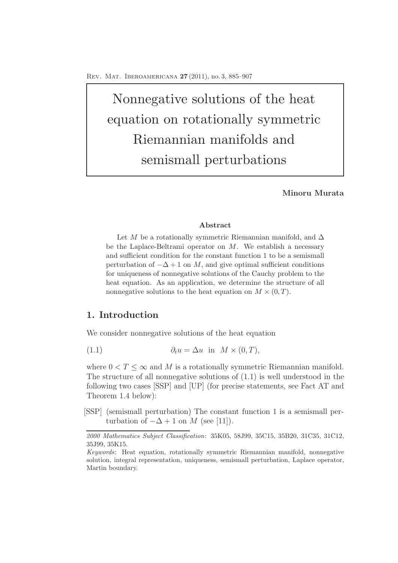Nonnegative solutions of the heat equation on rotationally symmetric Riemannian manifolds and semismall perturbations

**Minoru Murata**

### **Abstract**

Let *M* be a rotationally symmetric Riemannian manifold, and  $\Delta$ be the Laplace-Beltrami operator on *M*. We establish a necessary and sufficient condition for the constant function 1 to be a semismall perturbation of  $-\Delta + 1$  on *M*, and give optimal sufficient conditions for uniqueness of nonnegative solutions of the Cauchy problem to the heat equation. As an application, we determine the structure of all nonnegative solutions to the heat equation on  $M \times (0,T)$ .

## **1. Introduction**

We consider nonnegative solutions of the heat equation

(1.1) 
$$
\partial_t u = \Delta u \text{ in } M \times (0, T),
$$

where  $0 < T < \infty$  and M is a rotationally symmetric Riemannian manifold. The structure of all nonnegative solutions of (1.1) is well understood in the following two cases [SSP] and [UP] (for precise statements, see Fact AT and Theorem 1.4 below):

[SSP] (semismall perturbation) The constant function 1 is a semismall perturbation of  $-\Delta + 1$  on M (see [11]).

*<sup>2000</sup> Mathematics Subject Classification*: 35K05, 58J99, 35C15, 35B20, 31C35, 31C12, 35J99, 35K15.

*Keywords*: Heat equation, rotationally symmetric Riemannian manifold, nonnegative solution, integral representation, uniqueness, semismall perturbation, Laplace operator, Martin boundary.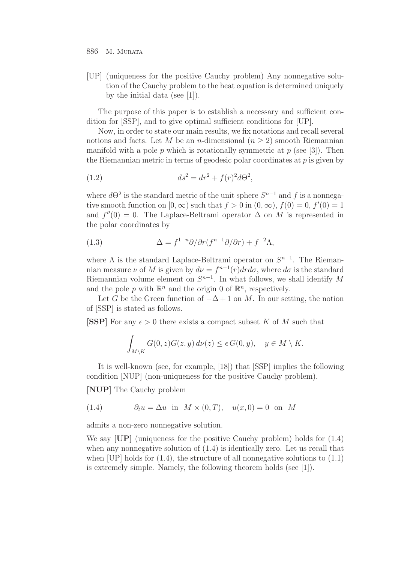[UP] (uniqueness for the positive Cauchy problem) Any nonnegative solution of the Cauchy problem to the heat equation is determined uniquely by the initial data (see [1]).

The purpose of this paper is to establish a necessary and sufficient condition for [SSP], and to give optimal sufficient conditions for [UP].

Now, in order to state our main results, we fix notations and recall several notions and facts. Let M be an n-dimensional  $(n \geq 2)$  smooth Riemannian manifold with a pole p which is rotationally symmetric at p (see [3]). Then the Riemannian metric in terms of geodesic polar coordinates at  $p$  is given by

(1.2) 
$$
ds^2 = dr^2 + f(r)^2 d\Theta^2,
$$

where  $d\Theta^2$  is the standard metric of the unit sphere  $S^{n-1}$  and f is a nonnegative smooth function on  $[0, \infty)$  such that  $f > 0$  in  $(0, \infty)$ ,  $f(0) = 0$ ,  $f'(0) = 1$ and  $f''(0) = 0$ . The Laplace-Beltrami operator  $\Delta$  on M is represented in the polar coordinates by

(1.3) 
$$
\Delta = f^{1-n}\partial/\partial r(f^{n-1}\partial/\partial r) + f^{-2}\Lambda,
$$

where  $\Lambda$  is the standard Laplace-Beltrami operator on  $S^{n-1}$ . The Riemannian measure  $\nu$  of M is given by  $d\nu = f^{n-1}(r) dr d\sigma$ , where  $d\sigma$  is the standard Riemannian volume element on  $S^{n-1}$ . In what follows, we shall identify M and the pole p with  $\mathbb{R}^n$  and the origin 0 of  $\mathbb{R}^n$ , respectively.

Let G be the Green function of  $-\Delta + 1$  on M. In our setting, the notion of [SSP] is stated as follows.

**[SSP]** For any  $\epsilon > 0$  there exists a compact subset K of M such that

$$
\int_{M\setminus K} G(0, z)G(z, y) d\nu(z) \le \epsilon G(0, y), \quad y \in M\setminus K.
$$

It is well-known (see, for example, [18]) that [SSP] implies the following condition [NUP] (non-uniqueness for the positive Cauchy problem).

**[NUP]** The Cauchy problem

(1.4) 
$$
\partial_t u = \Delta u \text{ in } M \times (0, T), \quad u(x, 0) = 0 \text{ on } M
$$

admits a non-zero nonnegative solution.

We say **[UP]** (uniqueness for the positive Cauchy problem) holds for (1.4) when any nonnegative solution of (1.4) is identically zero. Let us recall that when  $[UP]$  holds for  $(1.4)$ , the structure of all nonnegative solutions to  $(1.1)$ is extremely simple. Namely, the following theorem holds (see [1]).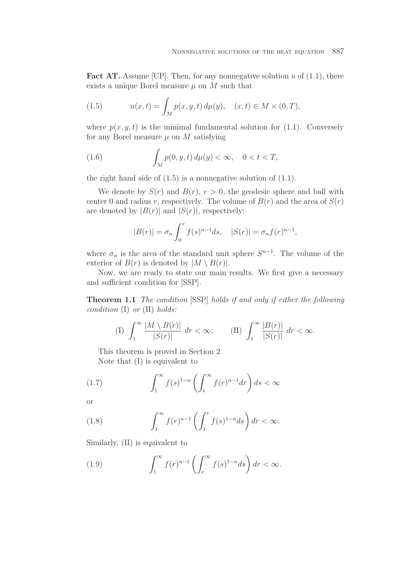**Fact AT.** Assume [UP]. Then, for any nonnegative solution u of  $(1.1)$ , there exists a unique Borel measure  $\mu$  on M such that

(1.5) 
$$
u(x,t) = \int_M p(x,y,t) \, d\mu(y), \quad (x,t) \in M \times (0,T),
$$

where  $p(x, y, t)$  is the minimal fundamental solution for (1.1). Conversely for any Borel measure  $\mu$  on M satisfying

(1.6) 
$$
\int_M p(0, y, t) d\mu(y) < \infty, \quad 0 < t < T,
$$

the right hand side of  $(1.5)$  is a nonnegative solution of  $(1.1)$ .

We denote by  $S(r)$  and  $B(r)$ ,  $r > 0$ , the geodesic sphere and ball with center 0 and radius r, respectively. The volume of  $B(r)$  and the area of  $S(r)$ are denoted by  $|B(r)|$  and  $|S(r)|$ , respectively:

$$
|B(r)| = \sigma_n \int_0^r f(s)^{n-1} ds, \quad |S(r)| = \sigma_n f(r)^{n-1},
$$

where  $\sigma_n$  is the area of the standard unit sphere  $S^{n-1}$ . The volume of the exterior of  $B(r)$  is denoted by  $|M \setminus B(r)|$ .

Now, we are ready to state our main results. We first give a necessary and sufficient condition for [SSP].

**Theorem 1.1** *The condition* [SSP] *holds if and only if either the following condition* (I) *or* (II) *holds:*

(I) 
$$
\int_{1}^{\infty} \frac{|M \setminus B(r)|}{|S(r)|} dr < \infty;
$$
 (II) 
$$
\int_{1}^{\infty} \frac{|B(r)|}{|S(r)|} dr < \infty.
$$

This theorem is proved in Section 2. Note that (I) is equivalent to

(1.7) 
$$
\int_{1}^{\infty} f(s)^{1-n} \left( \int_{s}^{\infty} f(r)^{n-1} dr \right) ds < \infty
$$

or

(1.8) 
$$
\int_1^\infty f(r)^{n-1} \left( \int_1^r f(s)^{1-n} ds \right) dr < \infty.
$$

Similarly, (II) is equivalent to

(1.9) 
$$
\int_{1}^{\infty} f(r)^{n-1} \left( \int_{r}^{\infty} f(s)^{1-n} ds \right) dr < \infty.
$$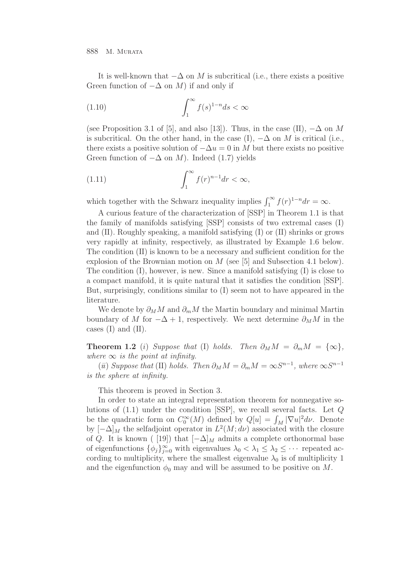It is well-known that  $-\Delta$  on M is subcritical (i.e., there exists a positive Green function of  $-\Delta$  on M) if and only if

(1.10) 
$$
\int_{1}^{\infty} f(s)^{1-n} ds < \infty
$$

(see Proposition 3.1 of [5], and also [13]). Thus, in the case (II),  $-\Delta$  on M is subcritical. On the other hand, in the case (I),  $-\Delta$  on M is critical (i.e., there exists a positive solution of  $-\Delta u = 0$  in M but there exists no positive Green function of  $-\Delta$  on M). Indeed (1.7) yields

(1.11) 
$$
\int_{1}^{\infty} f(r)^{n-1} dr < \infty,
$$

which together with the Schwarz inequality implies  $\int_1^{\infty} f(r)^{1-n} dr = \infty$ .

A curious feature of the characterization of [SSP] in Theorem 1.1 is that the family of manifolds satisfying [SSP] consists of two extremal cases (I) and (II). Roughly speaking, a manifold satisfying (I) or (II) shrinks or grows very rapidly at infinity, respectively, as illustrated by Example 1.6 below. The condition (II) is known to be a necessary and sufficient condition for the explosion of the Brownian motion on M (see [5] and Subsection 4.1 below). The condition (I), however, is new. Since a manifold satisfying (I) is close to a compact manifold, it is quite natural that it satisfies the condition [SSP]. But, surprisingly, conditions similar to (I) seem not to have appeared in the literature.

We denote by  $\partial_M M$  and  $\partial_m M$  the Martin boundary and minimal Martin boundary of M for  $-\Delta + 1$ , respectively. We next determine  $\partial_M M$  in the cases  $(I)$  and  $(II)$ .

**Theorem 1.2** (i) *Suppose that* (I) *holds.* Then  $\partial_M M = \partial_m M = {\infty}$ , *where*  $\infty$  *is the point at infinity.* 

(*ii*) *Suppose that* (II) *holds.* Then  $\partial_M M = \partial_m M = \infty S^{n-1}$ , where  $\infty S^{n-1}$ *is the sphere at infinity.*

This theorem is proved in Section 3.

In order to state an integral representation theorem for nonnegative solutions of (1.1) under the condition [SSP], we recall several facts. Let Q be the quadratic form on  $C_0^{\infty}(M)$  defined by  $Q[u] = \int_M |\nabla u|^2 d\nu$ . Denote by  $[-\Delta]_M$  the selfadjoint operator in  $L^2(M; d\nu)$  associated with the closure of Q. It is known ( [19]) that  $[-\Delta]_M$  admits a complete orthonormal base of eigenfunctions  $\{\phi_j\}_{j=0}^{\infty}$  with eigenvalues  $\lambda_0 < \lambda_1 \leq \lambda_2 \leq \cdots$  repeated according to multiplicity, where the smallest eigenvalue  $\lambda_0$  is of multiplicity 1 and the eigenfunction  $\phi_0$  may and will be assumed to be positive on M.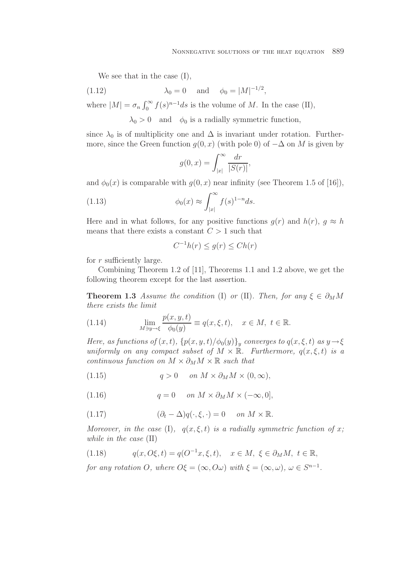We see that in the case (I),

(1.12) 
$$
\lambda_0 = 0
$$
 and  $\phi_0 = |M|^{-1/2}$ ,

where  $|M| = \sigma_n \int_0^\infty f(s)^{n-1} ds$  is the volume of M. In the case (II),

 $\lambda_0 > 0$  and  $\phi_0$  is a radially symmetric function,

since  $\lambda_0$  is of multiplicity one and  $\Delta$  is invariant under rotation. Furthermore, since the Green function  $q(0, x)$  (with pole 0) of  $-\Delta$  on M is given by

$$
g(0,x) = \int_{|x|}^{\infty} \frac{dr}{|S(r)|},
$$

and  $\phi_0(x)$  is comparable with  $g(0, x)$  near infinity (see Theorem 1.5 of [16]),

(1.13) 
$$
\phi_0(x) \approx \int_{|x|}^{\infty} f(s)^{1-n} ds.
$$

Here and in what follows, for any positive functions  $g(r)$  and  $h(r)$ ,  $g \approx h$ means that there exists a constant  $C > 1$  such that

$$
C^{-1}h(r) \le g(r) \le Ch(r)
$$

for  $r$  sufficiently large.

Combining Theorem 1.2 of [11], Theorems 1.1 and 1.2 above, we get the following theorem except for the last assertion.

**Theorem 1.3** *Assume the condition* (I) *or* (II)*. Then, for any*  $\xi \in \partial_M M$ *there exists the limit*

(1.14) 
$$
\lim_{M \ni y \to \xi} \frac{p(x, y, t)}{\phi_0(y)} \equiv q(x, \xi, t), \quad x \in M, \ t \in \mathbb{R}.
$$

*Here, as functions of*  $(x, t)$ *,*  $\{p(x, y, t) / \phi_0(y)\}_y$  *converges to*  $q(x, \xi, t)$  *as*  $y \rightarrow \xi$ *uniformly on any compact subset of*  $M \times \mathbb{R}$ *. Furthermore,*  $q(x, \xi, t)$  *is a continuous function on*  $M \times \partial_M M \times \mathbb{R}$  *such that* 

(1.15) 
$$
q > 0 \quad on \ M \times \partial_M M \times (0, \infty),
$$

(1.16)  $q = 0$  *on*  $M \times \partial_M M \times (-\infty, 0],$ 

(1.17) 
$$
(\partial_t - \Delta)q(\cdot, \xi, \cdot) = 0 \quad on \ M \times \mathbb{R}.
$$

*Moreover, in the case* (I),  $q(x, \xi, t)$  *is a radially symmetric function of* x; *while in the case* (II)

(1.18) 
$$
q(x, O\xi, t) = q(O^{-1}x, \xi, t), \quad x \in M, \ \xi \in \partial_M M, \ t \in \mathbb{R},
$$

*for any rotation* O, where  $O\xi = (\infty, O\omega)$  with  $\xi = (\infty, \omega)$ ,  $\omega \in S^{n-1}$ .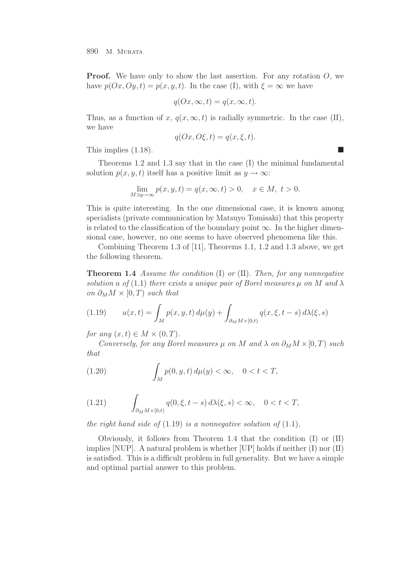**Proof.** We have only to show the last assertion. For any rotation O, we have  $p(Ox, Oy, t) = p(x, y, t)$ . In the case (I), with  $\xi = \infty$  we have

$$
q(0x, \infty, t) = q(x, \infty, t).
$$

Thus, as a function of x,  $q(x, \infty, t)$  is radially symmetric. In the case (II), we have

$$
q(0x, 0\xi, t) = q(x, \xi, t).
$$

This implies  $(1.18)$ .

Theorems 1.2 and 1.3 say that in the case (I) the minimal fundamental solution  $p(x, y, t)$  itself has a positive limit as  $y \to \infty$ :

$$
\lim_{M \ni y \to \infty} p(x, y, t) = q(x, \infty, t) > 0, \quad x \in M, \ t > 0.
$$

This is quite interesting. In the one dimensional case, it is known among specialists (private communication by Matsuyo Tomisaki) that this property is related to the classification of the boundary point  $\infty$ . In the higher dimensional case, however, no one seems to have observed phenomena like this.

Combining Theorem 1.3 of [11], Theorems 1.1, 1.2 and 1.3 above, we get the following theorem.

**Theorem 1.4** *Assume the condition* (I) *or* (II)*. Then, for any nonnegative solution* u *of* (1.1) *there exists* a unique pair *of Borel measures*  $\mu$  *on* M and  $\lambda$ *on*  $\partial_M M \times [0, T)$  *such that* 

(1.19) 
$$
u(x,t) = \int_M p(x,y,t) \, d\mu(y) + \int_{\partial_M M \times [0,t)} q(x,\xi,t-s) \, d\lambda(\xi,s)
$$

*for any*  $(x, t) \in M \times (0, T)$ *.* 

*Conversely, for any Borel measures*  $\mu$  *on*  $M$  *and*  $\lambda$  *on*  $\partial_M M \times [0, T)$  *such that*

(1.20) 
$$
\int_M p(0, y, t) d\mu(y) < \infty, \quad 0 < t < T,
$$

(1.21) 
$$
\int_{\partial_M M \times [0,t)} q(0,\xi,t-s) d\lambda(\xi,s) < \infty, \quad 0 < t < T,
$$

*the right hand side of*  $(1.19)$  *is a nonnegative solution of*  $(1.1)$ *.* 

Obviously, it follows from Theorem 1.4 that the condition (I) or (II) implies [NUP]. A natural problem is whether [UP] holds if neither (I) nor (II) is satisfied. This is a difficult problem in full generality. But we have a simple and optimal partial answer to this problem.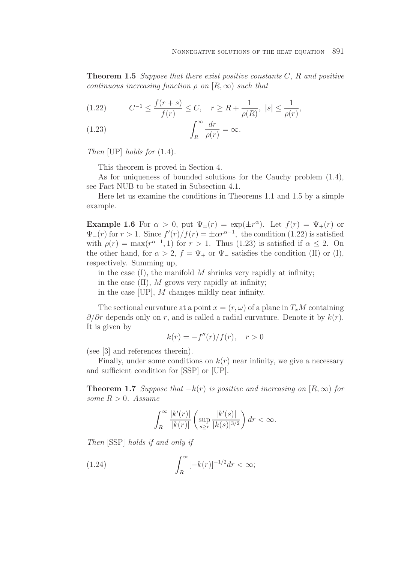**Theorem 1.5** *Suppose that there exist positive constants* C*,* R *and positive continuous increasing function*  $\rho$  *on*  $[R, \infty)$  *such that* 

(1.22) 
$$
C^{-1} \le \frac{f(r+s)}{f(r)} \le C, \quad r \ge R + \frac{1}{\rho(R)}, \ |s| \le \frac{1}{\rho(r)},
$$

(1.23) 
$$
\int_{R}^{\infty} \frac{dr}{\rho(r)} = \infty.
$$

*Then* [UP] *holds for* (1.4)*.*

This theorem is proved in Section 4.

As for uniqueness of bounded solutions for the Cauchy problem (1.4), see Fact NUB to be stated in Subsection 4.1.

Here let us examine the conditions in Theorems 1.1 and 1.5 by a simple example.

**Example 1.6** For  $\alpha > 0$ , put  $\Psi_+(r) = \exp(\pm r^{\alpha})$ . Let  $f(r) = \Psi_+(r)$  or  $\Psi_{-}(r)$  for  $r > 1$ . Since  $f'(r)/f(r) = \pm \alpha r^{\alpha-1}$ , the condition (1.22) is satisfied with  $\rho(r) = \max(r^{\alpha-1}, 1)$  for  $r > 1$ . Thus (1.23) is satisfied if  $\alpha \leq 2$ . On the other hand, for  $\alpha > 2$ ,  $f = \Psi_+$  or  $\Psi_-$  satisfies the condition (II) or (I), respectively. Summing up,

in the case  $(I)$ , the manifold M shrinks very rapidly at infinity;

- in the case  $(II)$ , M grows very rapidly at infinity;
- in the case [UP], M changes mildly near infinity.

The sectional curvature at a point  $x = (r, \omega)$  of a plane in  $T_xM$  containing  $\partial/\partial r$  depends only on r, and is called a radial curvature. Denote it by  $k(r)$ . It is given by

$$
k(r) = -f''(r)/f(r), \quad r > 0
$$

(see [3] and references therein).

Finally, under some conditions on  $k(r)$  near infinity, we give a necessary and sufficient condition for [SSP] or [UP].

**Theorem 1.7** *Suppose that*  $-k(r)$  *is positive and increasing on*  $[R, \infty)$  *for some*  $R > 0$ *. Assume* 

$$
\int_R^{\infty} \frac{|k'(r)|}{|k(r)|} \left( \sup_{s \ge r} \frac{|k'(s)|}{|k(s)|^{3/2}} \right) dr < \infty.
$$

*Then* [SSP] *holds if and only if*

$$
(1.24)\qquad \qquad \int_R^{\infty} [-k(r)]^{-1/2} dr < \infty;
$$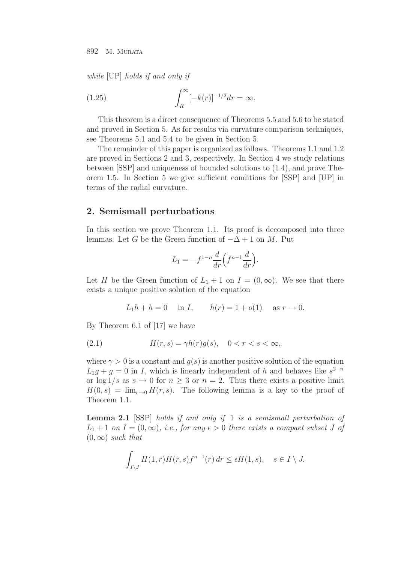*while* [UP] *holds if and only if*

(1.25) 
$$
\int_{R}^{\infty} [-k(r)]^{-1/2} dr = \infty.
$$

This theorem is a direct consequence of Theorems 5.5 and 5.6 to be stated and proved in Section 5. As for results via curvature comparison techniques, see Theorems 5.1 and 5.4 to be given in Section 5.

The remainder of this paper is organized as follows. Theorems 1.1 and 1.2 are proved in Sections 2 and 3, respectively. In Section 4 we study relations between [SSP] and uniqueness of bounded solutions to (1.4), and prove Theorem 1.5. In Section 5 we give sufficient conditions for [SSP] and [UP] in terms of the radial curvature.

## **2. Semismall perturbations**

In this section we prove Theorem 1.1. Its proof is decomposed into three lemmas. Let G be the Green function of  $-\Delta + 1$  on M. Put

$$
L_1 = -f^{1-n} \frac{d}{dr} \left( f^{n-1} \frac{d}{dr} \right).
$$

Let H be the Green function of  $L_1 + 1$  on  $I = (0, \infty)$ . We see that there exists a unique positive solution of the equation

$$
L_1 h + h = 0
$$
 in  $I$ ,  $h(r) = 1 + o(1)$  as  $r \to 0$ .

By Theorem 6.1 of [17] we have

$$
(2.1) \t\t\t H(r,s) = \gamma h(r)g(s), \quad 0 < r < s < \infty,
$$

where  $\gamma > 0$  is a constant and  $q(s)$  is another positive solution of the equation  $L_1g + g = 0$  in I, which is linearly independent of h and behaves like  $s^{2-n}$ or  $\log 1/s$  as  $s \to 0$  for  $n \geq 3$  or  $n = 2$ . Thus there exists a positive limit  $H(0, s) = \lim_{r\to 0} H(r, s)$ . The following lemma is a key to the proof of Theorem 1.1.

**Lemma 2.1** [SSP] *holds if and only if* 1 *is a semismall perturbation of*  $L_1 + 1$  *on*  $I = (0, \infty)$ *, i.e., for any*  $\epsilon > 0$  *there exists a compact subset* J *of*  $(0, \infty)$  *such that* 

$$
\int_{I\setminus J} H(1,r)H(r,s)f^{n-1}(r)\,dr \le \epsilon H(1,s), \quad s \in I\setminus J.
$$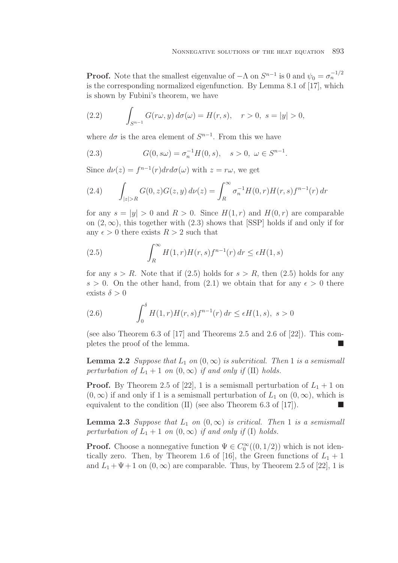**Proof.** Note that the smallest eigenvalue of  $-\Lambda$  on  $S^{n-1}$  is 0 and  $\psi_0 = \sigma_n^{-1/2}$ is the corresponding normalized eigenfunction. By Lemma 8.1 of [17], which is shown by Fubini's theorem, we have

(2.2) 
$$
\int_{S^{n-1}} G(r\omega, y) d\sigma(\omega) = H(r, s), \quad r > 0, \ s = |y| > 0,
$$

where  $d\sigma$  is the area element of  $S^{n-1}$ . From this we have

(2.3) 
$$
G(0, s\omega) = \sigma_n^{-1} H(0, s), \quad s > 0, \ \omega \in S^{n-1}.
$$

Since  $d\nu(z) = f^{n-1}(r) dr d\sigma(\omega)$  with  $z = r\omega$ , we get

(2.4) 
$$
\int_{|z|>R} G(0, z)G(z, y) d\nu(z) = \int_{R}^{\infty} \sigma_n^{-1} H(0, r) H(r, s) f^{n-1}(r) dr
$$

for any  $s = |y| > 0$  and  $R > 0$ . Since  $H(1, r)$  and  $H(0, r)$  are comparable on  $(2, \infty)$ , this together with  $(2.3)$  shows that [SSP] holds if and only if for any  $\epsilon > 0$  there exists  $R > 2$  such that

(2.5) 
$$
\int_{R}^{\infty} H(1, r)H(r, s)f^{n-1}(r) dr \leq \epsilon H(1, s)
$$

for any  $s > R$ . Note that if (2.5) holds for  $s > R$ , then (2.5) holds for any  $s > 0$ . On the other hand, from (2.1) we obtain that for any  $\epsilon > 0$  there exists  $\delta > 0$ 

(2.6) 
$$
\int_0^{\delta} H(1,r)H(r,s)f^{n-1}(r) dr \leq \epsilon H(1,s), \ s > 0
$$

(see also Theorem 6.3 of [17] and Theorems 2.5 and 2.6 of [22]). This completes the proof of the lemma.

**Lemma 2.2** *Suppose that*  $L_1$  *on*  $(0, \infty)$  *is subcritical. Then* 1 *is a semismall perturbation of*  $L_1 + 1$  *on*  $(0, \infty)$  *if and only if* (II) *holds.* 

**Proof.** By Theorem 2.5 of [22], 1 is a semismall perturbation of  $L_1 + 1$  on  $(0, \infty)$  if and only if 1 is a semismall perturbation of  $L_1$  on  $(0, \infty)$ , which is equivalent to the condition (II) (see also Theorem 6.3 of [17]).

**Lemma 2.3** *Suppose that*  $L_1$  *on*  $(0, \infty)$  *is critical. Then* 1 *is a semismall perturbation of*  $L_1 + 1$  *on*  $(0, \infty)$  *if and only if* (I) *holds.* 

**Proof.** Choose a nonnegative function  $\Psi \in C_0^{\infty}((0,1/2))$  which is not identically zero. Then, by Theorem 1.6 of [16], the Green functions of  $L_1 + 1$ and  $L_1 + \Psi + 1$  on  $(0, \infty)$  are comparable. Thus, by Theorem 2.5 of [22], 1 is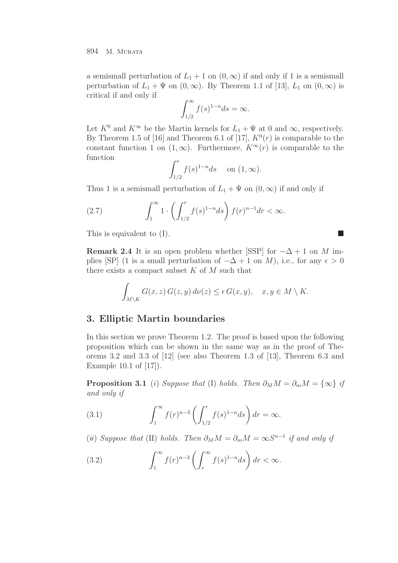a semismall perturbation of  $L_1 + 1$  on  $(0, \infty)$  if and only if 1 is a semismall perturbation of  $L_1 + \Psi$  on  $(0, \infty)$ . By Theorem 1.1 of [13],  $L_1$  on  $(0, \infty)$  is critical if and only if

$$
\int_{1/2}^{\infty} f(s)^{1-n} ds = \infty.
$$

Let  $K^0$  and  $K^\infty$  be the Martin kernels for  $L_1 + \Psi$  at 0 and  $\infty$ , respectively. By Theorem 1.5 of [16] and Theorem 6.1 of [17],  $K^0(r)$  is comparable to the constant function 1 on  $(1, \infty)$ . Furthermore,  $K^{\infty}(r)$  is comparable to the function

$$
\int_{1/2}^r f(s)^{1-n} ds \quad \text{on } (1, \infty).
$$

Thus 1 is a semismall perturbation of  $L_1 + \Psi$  on  $(0, \infty)$  if and only if

(2.7) 
$$
\int_{1}^{\infty} 1 \cdot \left( \int_{1/2}^{r} f(s)^{1-n} ds \right) f(r)^{n-1} dr < \infty.
$$

This is equivalent to  $(I)$ .

**Remark 2.4** It is an open problem whether [SSP] for  $-\Delta + 1$  on M implies [SP] (1 is a small perturbation of  $-\Delta + 1$  on M), i.e., for any  $\epsilon > 0$ there exists a compact subset  $K$  of  $M$  such that

$$
\int_{M\setminus K} G(x, z) G(z, y) d\nu(z) \le \epsilon G(x, y), \quad x, y \in M\setminus K.
$$

## **3. Elliptic Martin boundaries**

In this section we prove Theorem 1.2. The proof is based upon the following proposition which can be shown in the same way as in the proof of Theorems 3.2 and 3.3 of [12] (see also Theorem 1.3 of [13], Theorem 6.3 and Example 10.1 of [17]).

**Proposition 3.1** (i) *Suppose that* (I) *holds. Then*  $\partial_M M = \partial_m M = \{\infty\}$  *if and only if*

(3.1) 
$$
\int_{1}^{\infty} f(r)^{n-3} \left( \int_{1/2}^{r} f(s)^{1-n} ds \right) dr = \infty.
$$

(*ii*) *Suppose that* (II) *holds.* Then  $\partial_M M = \partial_m M = \infty S^{n-1}$  *if and only if* 

(3.2) 
$$
\int_{1}^{\infty} f(r)^{n-3} \left( \int_{r}^{\infty} f(s)^{1-n} ds \right) dr < \infty.
$$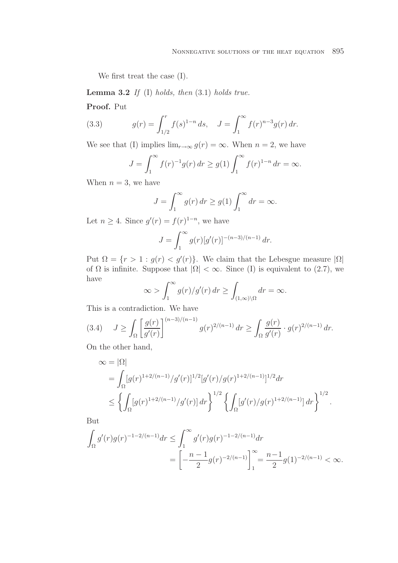We first treat the case (I).

**Lemma 3.2** *If* (I) *holds, then* (3.1) *holds true.*

**Proof.** Put

(3.3) 
$$
g(r) = \int_{1/2}^{r} f(s)^{1-n} ds, \quad J = \int_{1}^{\infty} f(r)^{n-3} g(r) dr.
$$

We see that (I) implies  $\lim_{r\to\infty} g(r) = \infty$ . When  $n = 2$ , we have

$$
J = \int_{1}^{\infty} f(r)^{-1} g(r) dr \ge g(1) \int_{1}^{\infty} f(r)^{1-n} dr = \infty.
$$

When  $n = 3$ , we have

$$
J = \int_1^{\infty} g(r) dr \ge g(1) \int_1^{\infty} dr = \infty.
$$

Let  $n \geq 4$ . Since  $g'(r) = f(r)^{1-n}$ , we have

$$
J = \int_1^{\infty} g(r) [g'(r)]^{-(n-3)/(n-1)} dr.
$$

Put  $\Omega = \{r > 1 : g(r) < g'(r)\}\$ . We claim that the Lebesgue measure  $|\Omega|$ of  $\Omega$  is infinite. Suppose that  $|\Omega| < \infty$ . Since (I) is equivalent to (2.7), we have

$$
\infty > \int_1^{\infty} g(r)/g'(r) dr \ge \int_{(1,\infty)\setminus\Omega} dr = \infty.
$$

This is a contradiction. We have

$$
(3.4) \quad J \ge \int_{\Omega} \left[ \frac{g(r)}{g'(r)} \right]^{(n-3)/(n-1)} g(r)^{2/(n-1)} dr \ge \int_{\Omega} \frac{g(r)}{g'(r)} \cdot g(r)^{2/(n-1)} dr.
$$

On the other hand,

$$
\begin{split} \infty &= |\Omega| \\ &= \int_{\Omega} [g(r)^{1+2/(n-1)}/g'(r)]^{1/2} [g'(r)/g(r)^{1+2/(n-1)}]^{1/2} dr \\ &\leq \left\{ \int_{\Omega} [g(r)^{1+2/(n-1)}/g'(r)] \, dr \right\}^{1/2} \left\{ \int_{\Omega} [g'(r)/g(r)^{1+2/(n-1)}] \, dr \right\}^{1/2} . \end{split}
$$

But

$$
\int_{\Omega} g'(r)g(r)^{-1-2/(n-1)} dr \le \int_{1}^{\infty} g'(r)g(r)^{-1-2/(n-1)} dr
$$
  
= 
$$
\left[ -\frac{n-1}{2}g(r)^{-2/(n-1)} \right]_{1}^{\infty} = \frac{n-1}{2}g(1)^{-2/(n-1)} < \infty.
$$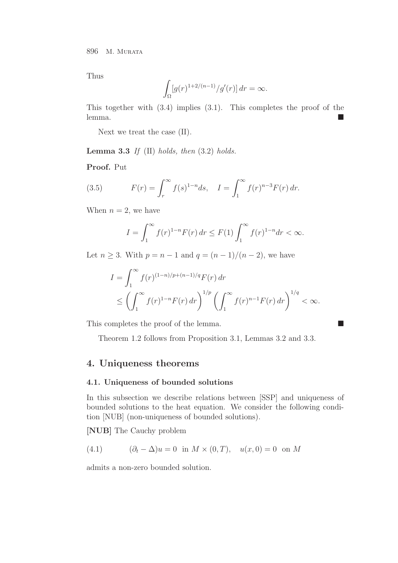Thus

$$
\int_{\Omega} [g(r)^{1+2/(n-1)}/g'(r)] dr = \infty.
$$

This together with (3.4) implies (3.1). This completes the proof of the lemma.

Next we treat the case (II).

**Lemma 3.3** *If* (II) *holds, then* (3.2) *holds.*

**Proof.** Put

(3.5) 
$$
F(r) = \int_r^{\infty} f(s)^{1-n} ds, \quad I = \int_1^{\infty} f(r)^{n-3} F(r) dr.
$$

When  $n = 2$ , we have

$$
I = \int_{1}^{\infty} f(r)^{1-n} F(r) \, dr \le F(1) \int_{1}^{\infty} f(r)^{1-n} dr < \infty.
$$

Let *n* ≥ 3. With *p* = *n* − 1 and *q* =  $(n - 1)/(n - 2)$ , we have

$$
I = \int_{1}^{\infty} f(r)^{(1-n)/p + (n-1)/q} F(r) dr
$$
  
\$\leq \left( \int\_{1}^{\infty} f(r)^{1-n} F(r) dr \right)^{1/p} \left( \int\_{1}^{\infty} f(r)^{n-1} F(r) dr \right)^{1/q} < \infty\$.

This completes the proof of the lemma.  $\blacksquare$ 

Theorem 1.2 follows from Proposition 3.1, Lemmas 3.2 and 3.3.

### **4. Uniqueness theorems**

### **4.1. Uniqueness of bounded solutions**

In this subsection we describe relations between [SSP] and uniqueness of bounded solutions to the heat equation. We consider the following condition [NUB] (non-uniqueness of bounded solutions).

**[NUB]** The Cauchy problem

(4.1) 
$$
(\partial_t - \Delta)u = 0 \text{ in } M \times (0, T), \quad u(x, 0) = 0 \text{ on } M
$$

admits a non-zero bounded solution.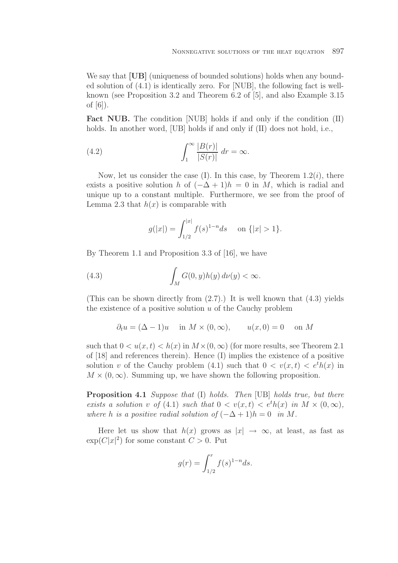We say that **[UB]** (uniqueness of bounded solutions) holds when any bounded solution of (4.1) is identically zero. For [NUB], the following fact is wellknown (see Proposition 3.2 and Theorem 6.2 of [5], and also Example 3.15 of [6]).

Fact NUB. The condition [NUB] holds if and only if the condition (II) holds. In another word, [UB] holds if and only if (II) does not hold, i.e.,

(4.2) 
$$
\int_{1}^{\infty} \frac{|B(r)|}{|S(r)|} dr = \infty.
$$

Now, let us consider the case (I). In this case, by Theorem  $1.2(i)$ , there exists a positive solution h of  $(-\Delta + 1)h = 0$  in M, which is radial and unique up to a constant multiple. Furthermore, we see from the proof of Lemma 2.3 that  $h(x)$  is comparable with

$$
g(|x|) = \int_{1/2}^{|x|} f(s)^{1-n} ds \quad \text{on } \{|x| > 1\}.
$$

By Theorem 1.1 and Proposition 3.3 of [16], we have

(4.3) 
$$
\int_M G(0, y)h(y) d\nu(y) < \infty.
$$

(This can be shown directly from  $(2.7)$ .) It is well known that  $(4.3)$  yields the existence of a positive solution  $u$  of the Cauchy problem

$$
\partial_t u = (\Delta - 1)u \quad \text{in } M \times (0, \infty), \qquad u(x, 0) = 0 \quad \text{on } M
$$

such that  $0 < u(x, t) < h(x)$  in  $M \times (0, \infty)$  (for more results, see Theorem 2.1) of [18] and references therein). Hence (I) implies the existence of a positive solution v of the Cauchy problem (4.1) such that  $0 < v(x,t) < e^{t}h(x)$  in  $M \times (0, \infty)$ . Summing up, we have shown the following proposition.

**Proposition 4.1** *Suppose that* (I) *holds. Then* [UB] *holds true, but there exists a solution* v of (4.1) *such that*  $0 < v(x,t) < e^t h(x)$  *in*  $M \times (0,\infty)$ *, where* h *is a positive radial solution of*  $(-\Delta + 1)h = 0$  *in* M.

Here let us show that  $h(x)$  grows as  $|x| \to \infty$ , at least, as fast as  $\exp(C|x|^2)$  for some constant  $C > 0$ . Put

$$
g(r) = \int_{1/2}^{r} f(s)^{1-n} ds.
$$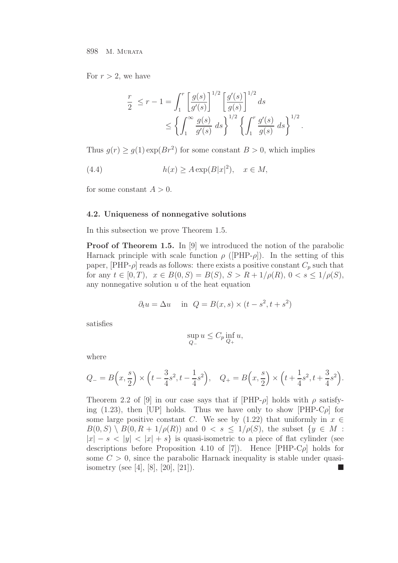For  $r > 2$ , we have

$$
\frac{r}{2} \le r - 1 = \int_1^r \left[ \frac{g(s)}{g(s)} \right]^{1/2} \left[ \frac{g'(s)}{g(s)} \right]^{1/2} ds
$$
  

$$
\le \left\{ \int_1^\infty \frac{g(s)}{g'(s)} ds \right\}^{1/2} \left\{ \int_1^r \frac{g'(s)}{g(s)} ds \right\}^{1/2}.
$$

Thus  $g(r) \ge g(1) \exp(Br^2)$  for some constant  $B > 0$ , which implies

(4.4) 
$$
h(x) \ge A \exp(B|x|^2), \quad x \in M,
$$

for some constant  $A > 0$ .

#### **4.2. Uniqueness of nonnegative solutions**

In this subsection we prove Theorem 1.5.

**Proof of Theorem 1.5.** In [9] we introduced the notion of the parabolic Harnack principle with scale function  $\rho$  ([PHP- $\rho$ ]). In the setting of this paper,  $[PHP-\rho]$  reads as follows: there exists a positive constant  $C_p$  such that for any  $t \in [0, T)$ ,  $x \in B(0, S) = B(S)$ ,  $S > R + 1/\rho(R)$ ,  $0 < s \leq 1/\rho(S)$ , any nonnegative solution  $u$  of the heat equation

$$
\partial_t u = \Delta u \quad \text{in} \quad Q = B(x, s) \times (t - s^2, t + s^2)
$$

satisfies

$$
\sup_{Q_-} u \le C_p \inf_{Q_+} u,
$$

where

$$
Q_{-} = B\left(x, \frac{s}{2}\right) \times \left(t - \frac{3}{4}s^2, t - \frac{1}{4}s^2\right), \quad Q_{+} = B\left(x, \frac{s}{2}\right) \times \left(t + \frac{1}{4}s^2, t + \frac{3}{4}s^2\right).
$$

Theorem 2.2 of [9] in our case says that if  $[PHP-\rho]$  holds with  $\rho$  satisfying (1.23), then [UP] holds. Thus we have only to show [PHP-C $\rho$ ] for some large positive constant C. We see by (1.22) that uniformly in  $x \in$  $B(0, S) \setminus B(0, R + 1/\rho(R))$  and  $0 < s \leq 1/\rho(S)$ , the subset  $\{y \in M :$  $|x| - s < |y| < |x| + s$  is quasi-isometric to a piece of flat cylinder (see descriptions before Proposition 4.10 of [7]). Hence  $[PHP-C\rho]$  holds for some  $C > 0$ , since the parabolic Harnack inequality is stable under quasiisometry (see [4], [8], [20], [21]).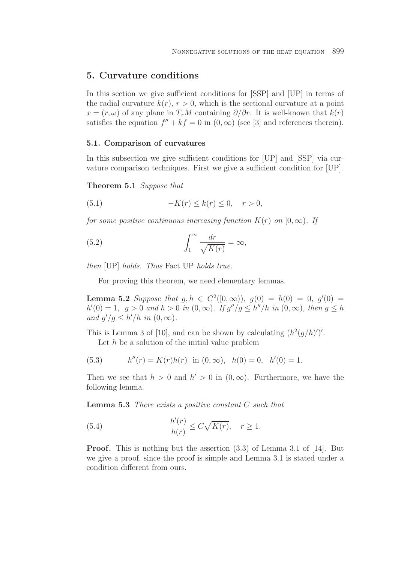## **5. Curvature conditions**

In this section we give sufficient conditions for [SSP] and [UP] in terms of the radial curvature  $k(r)$ ,  $r > 0$ , which is the sectional curvature at a point  $x = (r, \omega)$  of any plane in  $T_xM$  containing  $\partial/\partial r$ . It is well-known that  $k(r)$ satisfies the equation  $f'' + kf = 0$  in  $(0, \infty)$  (see [3] and references therein).

### **5.1. Comparison of curvatures**

In this subsection we give sufficient conditions for [UP] and [SSP] via curvature comparison techniques. First we give a sufficient condition for [UP].

**Theorem 5.1** *Suppose that*

$$
(5.1) \qquad \qquad -K(r) \le k(r) \le 0, \quad r > 0,
$$

*for some positive continuous increasing function*  $K(r)$  *on*  $[0, \infty)$ *. If* 

(5.2) 
$$
\int_{1}^{\infty} \frac{dr}{\sqrt{K(r)}} = \infty,
$$

*then* [UP] *holds. Thus* Fact UP *holds true.*

For proving this theorem, we need elementary lemmas.

**Lemma 5.2** *Suppose that*  $g, h \in C^2([0,\infty))$ ,  $g(0) = h(0) = 0$ ,  $g'(0) =$  $h'(0) = 1, \ g > 0 \ and \ h > 0 \ in \ (0, \infty)$ . If  $g''/g \leq h''/h \ in \ (0, \infty)$ , then  $g \leq h$ and  $g'/g \leq h'/h$  in  $(0, \infty)$ .

This is Lemma 3 of [10], and can be shown by calculating  $(h^2(g/h)')'$ .

Let  $h$  be a solution of the initial value problem

(5.3) 
$$
h''(r) = K(r)h(r) \text{ in } (0, \infty), \quad h(0) = 0, \quad h'(0) = 1.
$$

Then we see that  $h > 0$  and  $h' > 0$  in  $(0, \infty)$ . Furthermore, we have the following lemma.

**Lemma 5.3** *There exists a positive constant* C *such that*

(5.4) 
$$
\frac{h'(r)}{h(r)} \leq C\sqrt{K(r)}, \quad r \geq 1.
$$

**Proof.** This is nothing but the assertion (3.3) of Lemma 3.1 of [14]. But we give a proof, since the proof is simple and Lemma 3.1 is stated under a condition different from ours.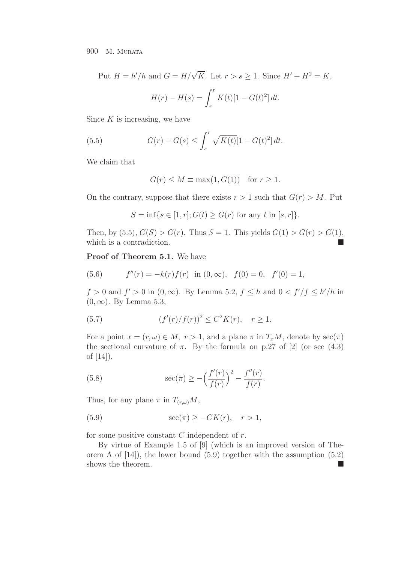Put  $H = h'/h$  and  $G = H/\sqrt{K}$ . Let  $r > s \geq 1$ . Since  $H' + H^2 = K$ ,  $H(r) - H(s) = \int^r$ s  $K(t)[1 - G(t)^{2}] dt.$ 

Since  $K$  is increasing, we have

(5.5) 
$$
G(r) - G(s) \le \int_s^r \sqrt{K(t)} [1 - G(t)^2] dt.
$$

We claim that

$$
G(r) \le M \equiv \max(1, G(1)) \quad \text{for } r \ge 1.
$$

On the contrary, suppose that there exists  $r > 1$  such that  $G(r) > M$ . Put

$$
S = \inf\{s \in [1, r]; G(t) \ge G(r) \text{ for any } t \text{ in } [s, r]\}.
$$

Then, by (5.5),  $G(S) > G(r)$ . Thus  $S = 1$ . This yields  $G(1) > G(r) > G(1)$ , which is a contradiction.

**Proof of Theorem 5.1.** We have

(5.6) 
$$
f''(r) = -k(r)f(r) \text{ in } (0, \infty), \quad f(0) = 0, \quad f'(0) = 1,
$$

 $f > 0$  and  $f' > 0$  in  $(0, \infty)$ . By Lemma 5.2,  $f \leq h$  and  $0 < f'/f \leq h'/h$  in  $(0, \infty)$ . By Lemma 5.3,

(5.7) 
$$
(f'(r)/f(r))^2 \le C^2 K(r), \quad r \ge 1.
$$

For a point  $x = (r, \omega) \in M$ ,  $r > 1$ , and a plane  $\pi$  in  $T_xM$ , denote by  $\sec(\pi)$ the sectional curvature of  $\pi$ . By the formula on p.27 of [2] (or see (4.3) of [14]),

(5.8) 
$$
\sec(\pi) \ge -\left(\frac{f'(r)}{f(r)}\right)^2 - \frac{f''(r)}{f(r)}.
$$

Thus, for any plane  $\pi$  in  $T_{(r,\omega)}M$ ,

(5.9) 
$$
\sec(\pi) \ge -CK(r), \quad r > 1,
$$

for some positive constant  $C$  independent of  $r$ .

By virtue of Example 1.5 of [9] (which is an improved version of Theorem A of  $[14]$ , the lower bound  $(5.9)$  together with the assumption  $(5.2)$ shows the theorem.  $\blacksquare$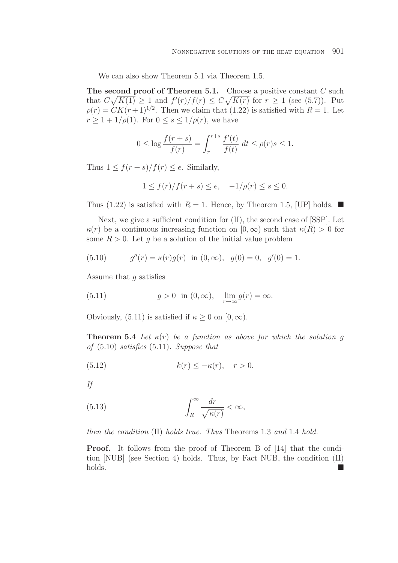We can also show Theorem 5.1 via Theorem 1.5.

**The second proof of Theorem 5.1.** Choose a positive constant C such that  $C\sqrt{K(1)} \geq 1$  and  $f'(r)/f(r) \leq C\sqrt{K(r)}$  for  $r \geq 1$  (see (5.7)). Put  $\rho(r) = CK(r+1)^{1/2}$ . Then we claim that (1.22) is satisfied with  $R = 1$ . Let  $r \geq 1+1/\rho(1)$ . For  $0 \leq s \leq 1/\rho(r)$ , we have

$$
0 \le \log \frac{f(r+s)}{f(r)} = \int_r^{r+s} \frac{f'(t)}{f(t)} dt \le \rho(r)s \le 1.
$$

Thus  $1 \leq f(r+s)/f(r) \leq e$ . Similarly,

$$
1 \le f(r)/f(r+s) \le e, \quad -1/\rho(r) \le s \le 0.
$$

Thus (1.22) is satisfied with  $R = 1$ . Hence, by Theorem 1.5, [UP] holds.  $\blacksquare$ 

Next, we give a sufficient condition for  $(II)$ , the second case of [SSP]. Let  $\kappa(r)$  be a continuous increasing function on  $[0,\infty)$  such that  $\kappa(R) > 0$  for some  $R > 0$ . Let q be a solution of the initial value problem

(5.10) 
$$
g''(r) = \kappa(r)g(r) \text{ in } (0, \infty), \ g(0) = 0, \ g'(0) = 1.
$$

Assume that g satisfies

(5.11) 
$$
g > 0
$$
 in  $(0, \infty)$ ,  $\lim_{r \to \infty} g(r) = \infty$ .

Obviously, (5.11) is satisfied if  $\kappa \geq 0$  on  $[0, \infty)$ .

**Theorem 5.4** *Let*  $\kappa(r)$  *be a function as above for which the solution q of* (5.10) *satisfies* (5.11)*. Suppose that*

(5.12) 
$$
k(r) \leq -\kappa(r), \quad r > 0.
$$

*If*

(5.13) 
$$
\int_{R}^{\infty} \frac{dr}{\sqrt{\kappa(r)}} < \infty,
$$

*then the condition* (II) *holds true. Thus* Theorems 1.3 *and* 1.4 *hold.*

**Proof.** It follows from the proof of Theorem B of [14] that the condition [NUB] (see Section 4) holds. Thus, by Fact NUB, the condition (II) holds.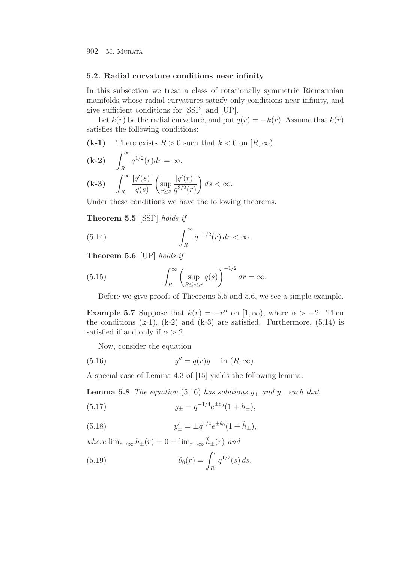#### **5.2. Radial curvature conditions near infinity**

In this subsection we treat a class of rotationally symmetric Riemannian manifolds whose radial curvatures satisfy only conditions near infinity, and give sufficient conditions for [SSP] and [UP].

Let  $k(r)$  be the radial curvature, and put  $q(r) = -k(r)$ . Assume that  $k(r)$ satisfies the following conditions:

**(k-1)** There exists  $R > 0$  such that  $k < 0$  on  $[R, \infty)$ .

$$
\begin{aligned}\n\textbf{(k-2)} \quad & \int_R^\infty q^{1/2}(r) dr = \infty. \\
\textbf{(k-3)} \quad & \int_R^\infty \frac{|q'(s)|}{q(s)} \left( \sup_{r \ge s} \frac{|q'(r)|}{q^{3/2}(r)} \right) ds < \infty.\n\end{aligned}
$$

Under these conditions we have the following theorems.

**Theorem 5.5** [SSP] *holds if*

(5.14) 
$$
\int_{R}^{\infty} q^{-1/2}(r) dr < \infty.
$$

**Theorem 5.6** [UP] *holds if*

(5.15) 
$$
\int_{R}^{\infty} \left( \sup_{R \le s \le r} q(s) \right)^{-1/2} dr = \infty.
$$

Before we give proofs of Theorems 5.5 and 5.6, we see a simple example.

**Example 5.7** Suppose that  $k(r) = -r^{\alpha}$  on  $[1, \infty)$ , where  $\alpha > -2$ . Then the conditions  $(k-1)$ ,  $(k-2)$  and  $(k-3)$  are satisfied. Furthermore,  $(5.14)$  is satisfied if and only if  $\alpha > 2$ .

Now, consider the equation

(5.16) 
$$
y'' = q(r)y
$$
 in  $(R, \infty)$ .

A special case of Lemma 4.3 of [15] yields the following lemma.

**Lemma 5.8** *The equation* (5.16) *has solutions*  $y_+$  *and*  $y_−$  *such that* 

(5.17) 
$$
y_{\pm} = q^{-1/4} e^{\pm \theta_0} (1 + h_{\pm}),
$$

(5.18) 
$$
y'_{\pm} = \pm q^{1/4} e^{\pm \theta_0} (1 + \tilde{h}_{\pm}),
$$

*where*  $\lim_{r\to\infty} h_{\pm}(r) = 0 = \lim_{r\to\infty} \tilde{h}_{\pm}(r)$  *and* 

(5.19) 
$$
\theta_0(r) = \int_R^r q^{1/2}(s) \, ds.
$$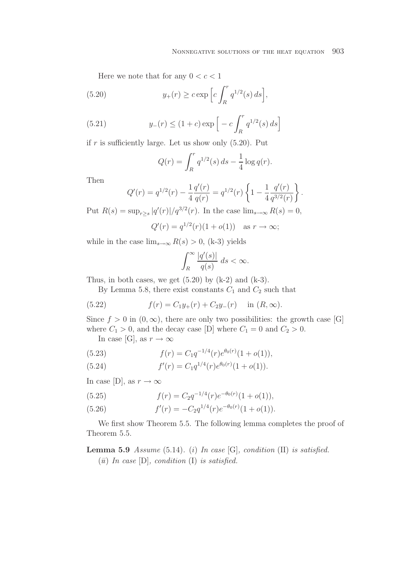Here we note that for any  $0 < c < 1$ 

(5.20) 
$$
y_+(r) \geq c \exp\left[c \int_R^r q^{1/2}(s) ds\right],
$$

(5.21) 
$$
y_{-}(r) \le (1 + c) \exp \left[ -c \int_{R}^{r} q^{1/2}(s) ds \right]
$$

if r is sufficiently large. Let us show only  $(5.20)$ . Put

$$
Q(r) = \int_{R}^{r} q^{1/2}(s) ds - \frac{1}{4} \log q(r).
$$

Then

$$
Q'(r) = q^{1/2}(r) - \frac{1}{4} \frac{q'(r)}{q(r)} = q^{1/2}(r) \left\{ 1 - \frac{1}{4} \frac{q'(r)}{q^{3/2}(r)} \right\}.
$$

Put  $R(s) = \sup_{r \ge s} |q'(r)|/q^{3/2}(r)$ . In the case  $\lim_{s \to \infty} R(s) = 0$ ,

$$
Q'(r) = q^{1/2}(r)(1 + o(1))
$$
 as  $r \to \infty$ ;

while in the case  $\lim_{s\to\infty} R(s) > 0$ , (k-3) yields

$$
\int_{R}^{\infty} \frac{|q'(s)|}{q(s)} \ ds < \infty.
$$

Thus, in both cases, we get  $(5.20)$  by  $(k-2)$  and  $(k-3)$ .

By Lemma 5.8, there exist constants  $C_1$  and  $C_2$  such that

(5.22) 
$$
f(r) = C_1 y_+(r) + C_2 y_-(r) \text{ in } (R, \infty).
$$

Since  $f > 0$  in  $(0, \infty)$ , there are only two possibilities: the growth case [G] where  $C_1 > 0$ , and the decay case [D] where  $C_1 = 0$  and  $C_2 > 0$ .

In case [G], as  $r \to \infty$ 

(5.23) 
$$
f(r) = C_1 q^{-1/4} (r) e^{\theta_0(r)} (1 + o(1)),
$$

(5.24) 
$$
f'(r) = C_1 q^{1/4}(r) e^{\theta_0(r)} (1 + o(1)).
$$

In case [D], as  $r \to \infty$ 

(5.25) 
$$
f(r) = C_2 q^{-1/4}(r) e^{-\theta_0(r)} (1 + o(1)),
$$

(5.26) 
$$
f'(r) = -C_2 q^{1/4}(r) e^{-\theta_0(r)} (1 + o(1)).
$$

We first show Theorem 5.5. The following lemma completes the proof of Theorem 5.5.

# **Lemma 5.9** *Assume* (5.14)*.* (i) *In case* [G]*, condition* (II) *is satisfied.* (ii) *In case* [D]*, condition* (I) *is satisfied.*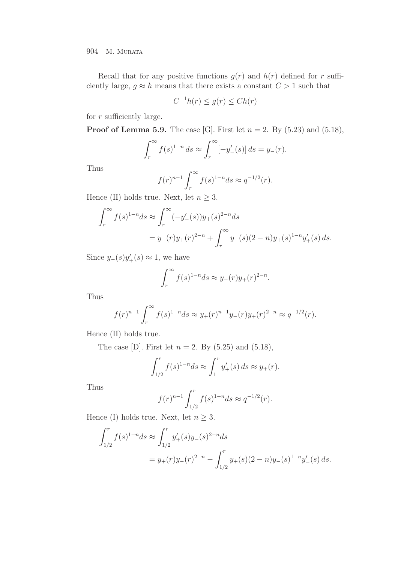904 M. MURATA

Recall that for any positive functions  $g(r)$  and  $h(r)$  defined for r sufficiently large,  $g \approx h$  means that there exists a constant  $C > 1$  such that

$$
C^{-1}h(r) \le g(r) \le Ch(r)
$$

for  $r$  sufficiently large.

**Proof of Lemma 5.9.** The case [G]. First let  $n = 2$ . By (5.23) and (5.18),

$$
\int_r^{\infty} f(s)^{1-n} ds \approx \int_r^{\infty} [-y'_{-}(s)] ds = y_{-}(r).
$$

Thus

$$
f(r)^{n-1} \int_r^{\infty} f(s)^{1-n} ds \approx q^{-1/2}(r).
$$

Hence (II) holds true. Next, let  $n\geq 3.$ 

$$
\int_r^{\infty} f(s)^{1-n} ds \approx \int_r^{\infty} (-y'_{-}(s))y_+(s)^{2-n} ds
$$
  
=  $y_{-}(r)y_+(r)^{2-n} + \int_r^{\infty} y_{-}(s)(2-n)y_+(s)^{1-n}y'_+(s) ds.$ 

Since  $y_-(s)y'_+(s) \approx 1$ , we have

$$
\int_r^{\infty} f(s)^{1-n} ds \approx y_-(r)y_+(r)^{2-n}.
$$

Thus

$$
f(r)^{n-1} \int_r^{\infty} f(s)^{1-n} ds \approx y_+(r)^{n-1} y_-(r) y_+(r)^{2-n} \approx q^{-1/2}(r).
$$

Hence (II) holds true.

The case [D]. First let  $n = 2$ . By (5.25) and (5.18),

$$
\int_{1/2}^r f(s)^{1-n} ds \approx \int_1^r y'_+(s) \, ds \approx y_+(r).
$$

Thus

$$
f(r)^{n-1} \int_{1/2}^{r} f(s)^{1-n} ds \approx q^{-1/2}(r).
$$

Hence (I) holds true. Next, let  $n\geq 3.$ 

$$
\int_{1/2}^r f(s)^{1-n} ds \approx \int_{1/2}^r y_+'(s) y_-(s)^{2-n} ds
$$
  
=  $y_+(r) y_-(r)^{2-n} - \int_{1/2}^r y_+(s) (2-n) y_-(s)^{1-n} y_-'(s) ds.$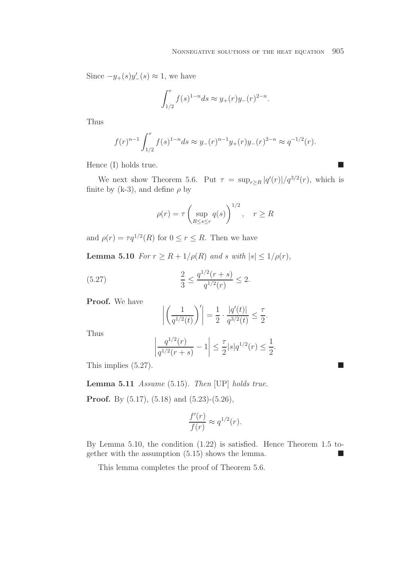$\mathcal{L}_{\mathcal{A}}$ 

Since  $-y_+(s)y_-'(s) \approx 1$ , we have

$$
\int_{1/2}^r f(s)^{1-n} ds \approx y_+(r) y_-(r)^{2-n}.
$$

Thus

$$
f(r)^{n-1} \int_{1/2}^r f(s)^{1-n} ds \approx y_-(r)^{n-1} y_+(r) y_-(r)^{2-n} \approx q^{-1/2}(r).
$$

Hence  $(I)$  holds true.

We next show Theorem 5.6. Put  $\tau = \sup_{r \geq R} |q'(r)|/q^{3/2}(r)$ , which is finite by (k-3), and define  $\rho$  by

$$
\rho(r) = \tau \left( \sup_{R \le s \le r} q(s) \right)^{1/2}, \quad r \ge R
$$

and  $\rho(r) = \tau q^{1/2}(R)$  for  $0 \le r \le R$ . Then we have

**Lemma 5.10** *For*  $r \geq R + 1/\rho(R)$  *and* s *with*  $|s| \leq 1/\rho(r)$ *,* 

(5.27) 
$$
\frac{2}{3} \le \frac{q^{1/2}(r+s)}{q^{1/2}(r)} \le 2.
$$

**Proof.** We have

$$
\left| \left( \frac{1}{q^{1/2}(t)} \right)' \right| = \frac{1}{2} \cdot \frac{|q'(t)|}{q^{3/2}(t)} \le \frac{\tau}{2}.
$$

Thus

$$
\left|\frac{q^{1/2}(r)}{q^{1/2}(r+s)} - 1\right| \le \frac{\tau}{2}|s|q^{1/2}(r) \le \frac{1}{2}.
$$

This implies  $(5.27)$ .

**Lemma 5.11** *Assume* (5.15)*. Then* [UP] *holds true.*

**Proof.** By  $(5.17)$ ,  $(5.18)$  and  $(5.23)$ - $(5.26)$ ,

$$
\frac{f'(r)}{f(r)} \approx q^{1/2}(r).
$$

By Lemma 5.10, the condition (1.22) is satisfied. Hence Theorem 1.5 together with the assumption  $(5.15)$  shows the lemma.

This lemma completes the proof of Theorem 5.6.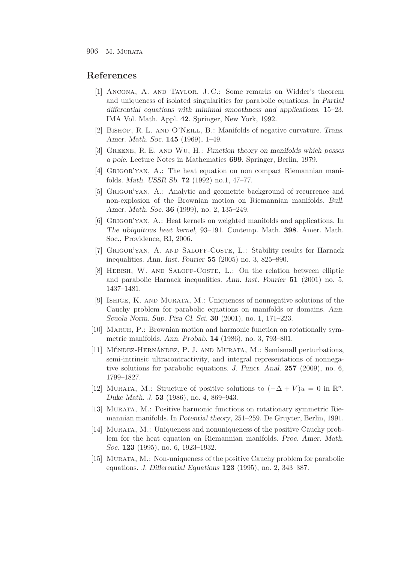## **References**

- [1] Ancona, A. and Taylor, J. C.: Some remarks on Widder's theorem and uniqueness of isolated singularities for parabolic equations. In *Partial differential equations with minimal smoothness and applications*, 15–23. IMA Vol. Math. Appl. **42**. Springer, New York, 1992.
- [2] Bishop, R. L. and O'Neill, B.: Manifolds of negative curvature. *Trans. Amer. Math. Soc.* **145** (1969), 1–49.
- [3] Greene, R. E. and Wu, H.: *Function theory on manifolds which posses a pole.* Lecture Notes in Mathematics **699**. Springer, Berlin, 1979.
- [4] Grigor'yan, A.: The heat equation on non compact Riemannian manifolds. *Math. USSR Sb.* **72** (1992) no.1, 47–77.
- [5] Grigor'yan, A.: Analytic and geometric background of recurrence and non-explosion of the Brownian motion on Riemannian manifolds. *Bull. Amer. Math. Soc.* **36** (1999), no. 2, 135–249.
- [6] Grigor'yan, A.: Heat kernels on weighted manifolds and applications. In *The ubiquitous heat kernel*, 93–191. Contemp. Math. **398**. Amer. Math. Soc., Providence, RI, 2006.
- [7] GRIGOR'YAN, A. AND SALOFF-COSTE, L.: Stability results for Harnack inequalities. *Ann. Inst. Fourier* **55** (2005) no. 3, 825–890.
- [8] HEBISH, W. AND SALOFF-COSTE, L.: On the relation between elliptic and parabolic Harnack inequalities. *Ann. Inst. Fourier* **51** (2001) no. 5, 1437–1481.
- [9] Ishige, K. and Murata, M.: Uniqueness of nonnegative solutions of the Cauchy problem for parabolic equations on manifolds or domains. *Ann. Scuola Norm. Sup. Pisa Cl. Sci.* **30** (2001), no. 1, 171–223.
- [10] March, P.: Brownian motion and harmonic function on rotationally symmetric manifolds. *Ann. Probab.* **14** (1986), no. 3, 793–801.
- [11] MÉNDEZ-HERNÁNDEZ, P. J. AND MURATA, M.: Semismall perturbations, semi-intrinsic ultracontractivity, and integral representations of nonnegative solutions for parabolic equations. *J. Funct. Anal.* **257** (2009), no. 6, 1799–1827.
- [12] MURATA, M.: Structure of positive solutions to  $(-\Delta + V)u = 0$  in  $\mathbb{R}^n$ . *Duke Math. J.* **53** (1986), no. 4, 869–943.
- [13] Murata, M.: Positive harmonic functions on rotationary symmetric Riemannian manifolds. In *Potential theory*, 251–259. De Gruyter, Berlin, 1991.
- [14] Murata, M.: Uniqueness and nonuniqueness of the positive Cauchy problem for the heat equation on Riemannian manifolds. *Proc. Amer. Math. Soc.* **123** (1995), no. 6, 1923–1932.
- [15] MURATA, M.: Non-uniqueness of the positive Cauchy problem for parabolic equations. *J. Differential Equations* **123** (1995), no. 2, 343–387.